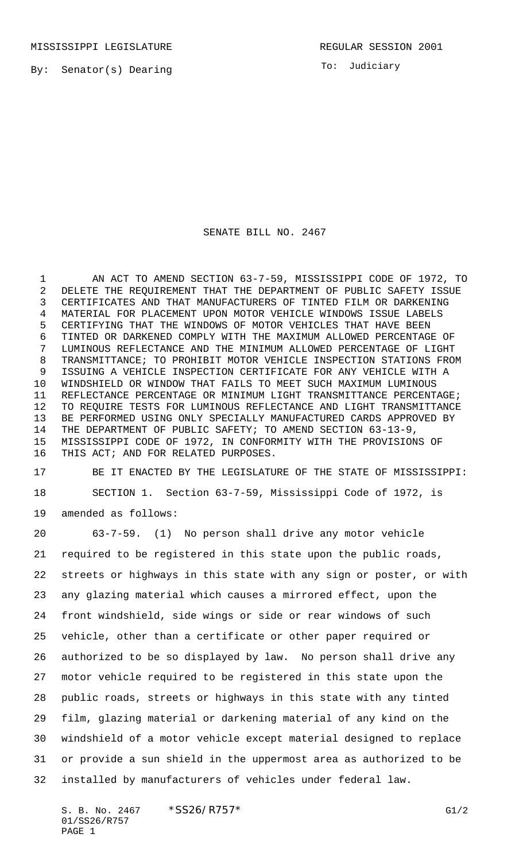MISSISSIPPI LEGISLATURE **REGULAR SESSION 2001** 

By: Senator(s) Dearing

To: Judiciary

## SENATE BILL NO. 2467

 AN ACT TO AMEND SECTION 63-7-59, MISSISSIPPI CODE OF 1972, TO DELETE THE REQUIREMENT THAT THE DEPARTMENT OF PUBLIC SAFETY ISSUE CERTIFICATES AND THAT MANUFACTURERS OF TINTED FILM OR DARKENING MATERIAL FOR PLACEMENT UPON MOTOR VEHICLE WINDOWS ISSUE LABELS CERTIFYING THAT THE WINDOWS OF MOTOR VEHICLES THAT HAVE BEEN TINTED OR DARKENED COMPLY WITH THE MAXIMUM ALLOWED PERCENTAGE OF LUMINOUS REFLECTANCE AND THE MINIMUM ALLOWED PERCENTAGE OF LIGHT TRANSMITTANCE; TO PROHIBIT MOTOR VEHICLE INSPECTION STATIONS FROM ISSUING A VEHICLE INSPECTION CERTIFICATE FOR ANY VEHICLE WITH A WINDSHIELD OR WINDOW THAT FAILS TO MEET SUCH MAXIMUM LUMINOUS REFLECTANCE PERCENTAGE OR MINIMUM LIGHT TRANSMITTANCE PERCENTAGE; TO REQUIRE TESTS FOR LUMINOUS REFLECTANCE AND LIGHT TRANSMITTANCE BE PERFORMED USING ONLY SPECIALLY MANUFACTURED CARDS APPROVED BY THE DEPARTMENT OF PUBLIC SAFETY; TO AMEND SECTION 63-13-9, MISSISSIPPI CODE OF 1972, IN CONFORMITY WITH THE PROVISIONS OF THIS ACT; AND FOR RELATED PURPOSES.

 BE IT ENACTED BY THE LEGISLATURE OF THE STATE OF MISSISSIPPI: SECTION 1. Section 63-7-59, Mississippi Code of 1972, is amended as follows:

 63-7-59. (1) No person shall drive any motor vehicle required to be registered in this state upon the public roads, streets or highways in this state with any sign or poster, or with any glazing material which causes a mirrored effect, upon the front windshield, side wings or side or rear windows of such vehicle, other than a certificate or other paper required or authorized to be so displayed by law. No person shall drive any motor vehicle required to be registered in this state upon the public roads, streets or highways in this state with any tinted film, glazing material or darkening material of any kind on the windshield of a motor vehicle except material designed to replace or provide a sun shield in the uppermost area as authorized to be installed by manufacturers of vehicles under federal law.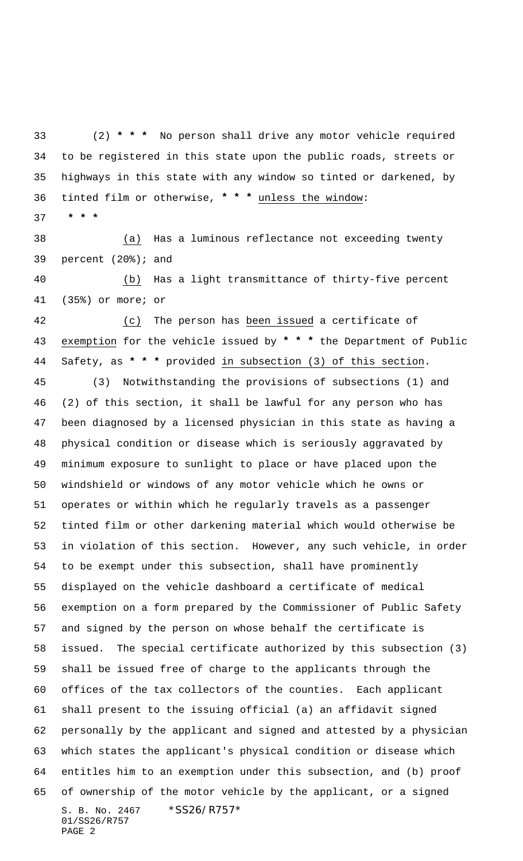(2) **\* \* \*** No person shall drive any motor vehicle required to be registered in this state upon the public roads, streets or highways in this state with any window so tinted or darkened, by tinted film or otherwise, **\* \* \*** unless the window:

 **\* \* \***

 (a) Has a luminous reflectance not exceeding twenty percent (20%); and

 (b) Has a light transmittance of thirty-five percent (35%) or more; or

 (c) The person has been issued a certificate of exemption for the vehicle issued by **\* \* \*** the Department of Public Safety, as **\* \* \*** provided in subsection (3) of this section.

S. B. No. 2467 \* SS26/R757\* 01/SS26/R757 PAGE 2 (3) Notwithstanding the provisions of subsections (1) and (2) of this section, it shall be lawful for any person who has been diagnosed by a licensed physician in this state as having a physical condition or disease which is seriously aggravated by minimum exposure to sunlight to place or have placed upon the windshield or windows of any motor vehicle which he owns or operates or within which he regularly travels as a passenger tinted film or other darkening material which would otherwise be in violation of this section. However, any such vehicle, in order to be exempt under this subsection, shall have prominently displayed on the vehicle dashboard a certificate of medical exemption on a form prepared by the Commissioner of Public Safety and signed by the person on whose behalf the certificate is issued. The special certificate authorized by this subsection (3) shall be issued free of charge to the applicants through the offices of the tax collectors of the counties. Each applicant shall present to the issuing official (a) an affidavit signed personally by the applicant and signed and attested by a physician which states the applicant's physical condition or disease which entitles him to an exemption under this subsection, and (b) proof of ownership of the motor vehicle by the applicant, or a signed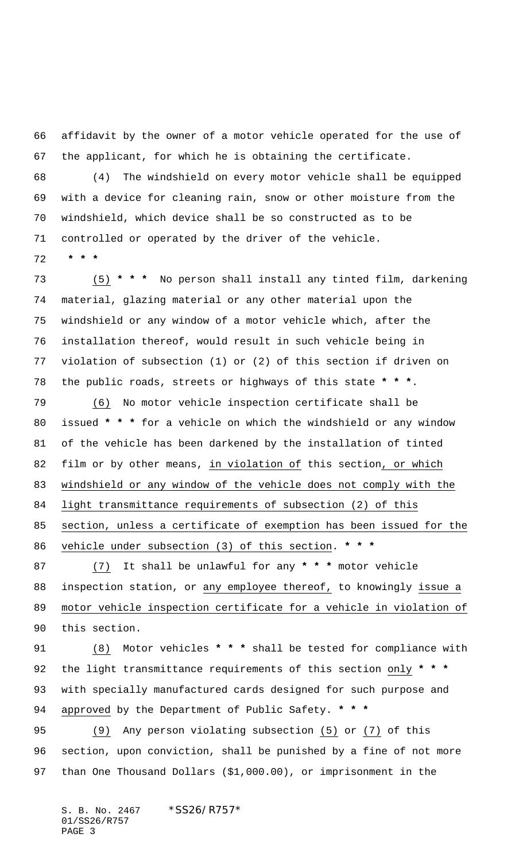affidavit by the owner of a motor vehicle operated for the use of the applicant, for which he is obtaining the certificate.

 (4) The windshield on every motor vehicle shall be equipped with a device for cleaning rain, snow or other moisture from the windshield, which device shall be so constructed as to be controlled or operated by the driver of the vehicle.

 **\* \* \***

 (5) **\* \* \*** No person shall install any tinted film, darkening material, glazing material or any other material upon the windshield or any window of a motor vehicle which, after the installation thereof, would result in such vehicle being in violation of subsection (1) or (2) of this section if driven on the public roads, streets or highways of this state **\* \* \***.

 (6) No motor vehicle inspection certificate shall be issued **\* \* \*** for a vehicle on which the windshield or any window of the vehicle has been darkened by the installation of tinted film or by other means, in violation of this section, or which windshield or any window of the vehicle does not comply with the light transmittance requirements of subsection (2) of this section, unless a certificate of exemption has been issued for the vehicle under subsection (3) of this section. **\* \* \***

 (7) It shall be unlawful for any **\* \* \*** motor vehicle 88 inspection station, or any employee thereof, to knowingly issue a motor vehicle inspection certificate for a vehicle in violation of this section.

 (8) Motor vehicles **\* \* \*** shall be tested for compliance with the light transmittance requirements of this section only **\* \* \*** with specially manufactured cards designed for such purpose and approved by the Department of Public Safety. **\* \* \***

 (9) Any person violating subsection (5) or (7) of this section, upon conviction, shall be punished by a fine of not more than One Thousand Dollars (\$1,000.00), or imprisonment in the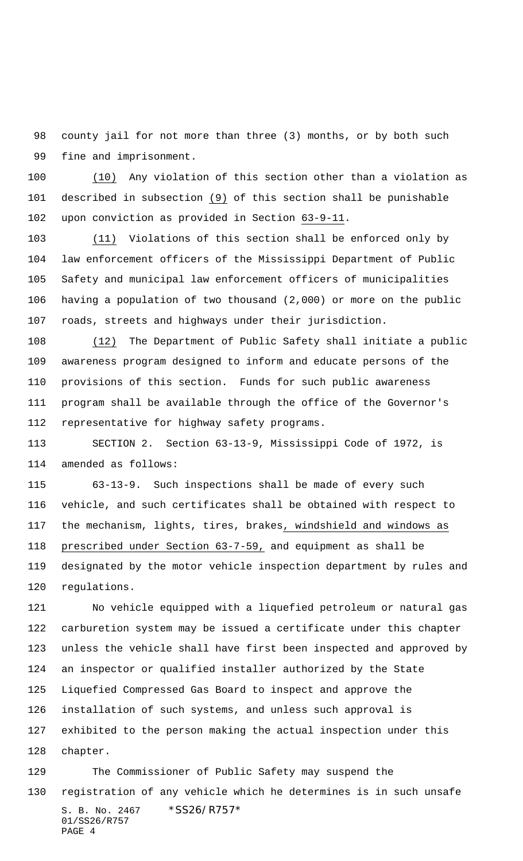county jail for not more than three (3) months, or by both such fine and imprisonment.

 (10) Any violation of this section other than a violation as described in subsection (9) of this section shall be punishable upon conviction as provided in Section 63-9-11.

 (11) Violations of this section shall be enforced only by law enforcement officers of the Mississippi Department of Public Safety and municipal law enforcement officers of municipalities having a population of two thousand (2,000) or more on the public roads, streets and highways under their jurisdiction.

 (12) The Department of Public Safety shall initiate a public awareness program designed to inform and educate persons of the provisions of this section. Funds for such public awareness program shall be available through the office of the Governor's representative for highway safety programs.

 SECTION 2. Section 63-13-9, Mississippi Code of 1972, is amended as follows:

 63-13-9. Such inspections shall be made of every such vehicle, and such certificates shall be obtained with respect to the mechanism, lights, tires, brakes, windshield and windows as prescribed under Section 63-7-59, and equipment as shall be designated by the motor vehicle inspection department by rules and regulations.

 No vehicle equipped with a liquefied petroleum or natural gas carburetion system may be issued a certificate under this chapter unless the vehicle shall have first been inspected and approved by an inspector or qualified installer authorized by the State Liquefied Compressed Gas Board to inspect and approve the installation of such systems, and unless such approval is exhibited to the person making the actual inspection under this chapter.

S. B. No. 2467 \* SS26/R757\* 01/SS26/R757 PAGE 4 The Commissioner of Public Safety may suspend the registration of any vehicle which he determines is in such unsafe